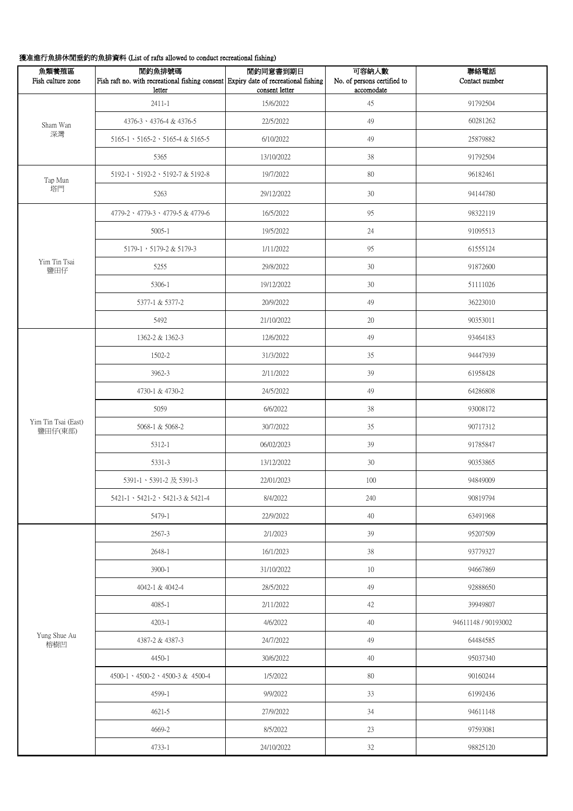## 獲准進行魚排休閒垂釣的魚排資料 (List of rafts allowed to conduct recreational fishing)

| 魚類養殖區<br>Fish culture zone     | 閒釣魚排號碼<br>Fish raft no. with recreational fishing consent Expiry date of recreational fishing<br>letter | 閒釣同意書到期日<br>consent letter | 可容納人數<br>No. of persons certified to<br>accomodate | 聯絡電話<br>Contact number |
|--------------------------------|---------------------------------------------------------------------------------------------------------|----------------------------|----------------------------------------------------|------------------------|
| Sham Wan<br>深灣                 | $2411 - 1$                                                                                              | 15/6/2022                  | 45                                                 | 91792504               |
|                                | 4376-3 \ 4376-4 & 4376-5                                                                                | 22/5/2022                  | 49                                                 | 60281262               |
|                                | $5165-1$ $\cdot$ $5165-2$ $\cdot$ $5165-4$ & $5165-5$                                                   | 6/10/2022                  | 49                                                 | 25879882               |
|                                | 5365                                                                                                    | 13/10/2022                 | 38                                                 | 91792504               |
| Tap Mun                        | 5192-1 \ 5192-2 \ 5192-7 & 5192-8                                                                       | 19/7/2022                  | 80                                                 | 96182461               |
| 塔門                             | 5263                                                                                                    | 29/12/2022                 | $30\,$                                             | 94144780               |
|                                | 4779-2 \ 4779-3 \ 4779-5 & 4779-6                                                                       | 16/5/2022                  | 95                                                 | 98322119               |
|                                | $5005 - 1$                                                                                              | 19/5/2022                  | 24                                                 | 91095513               |
|                                | 5179-1, 5179-2 & 5179-3                                                                                 | 1/11/2022                  | 95                                                 | 61555124               |
| Yim Tin Tsai<br>鹽田仔            | 5255                                                                                                    | 29/8/2022                  | 30                                                 | 91872600               |
|                                | 5306-1                                                                                                  | 19/12/2022                 | 30                                                 | 51111026               |
|                                | 5377-1 & 5377-2                                                                                         | 20/9/2022                  | 49                                                 | 36223010               |
|                                | 5492                                                                                                    | 21/10/2022                 | $20\,$                                             | 90353011               |
|                                | 1362-2 & 1362-3                                                                                         | 12/6/2022                  | 49                                                 | 93464183               |
|                                | 1502-2                                                                                                  | 31/3/2022                  | 35                                                 | 94447939               |
|                                | 3962-3                                                                                                  | 2/11/2022                  | 39                                                 | 61958428               |
|                                | 4730-1 & 4730-2                                                                                         | 24/5/2022                  | 49                                                 | 64286808               |
|                                | 5059                                                                                                    | 6/6/2022                   | 38                                                 | 93008172               |
| Yim Tin Tsai (East)<br>鹽田仔(東部) | 5068-1 & 5068-2                                                                                         | 30/7/2022                  | 35                                                 | 90717312               |
|                                | 5312-1                                                                                                  | 06/02/2023                 | 39                                                 | 91785847               |
|                                | 5331-3                                                                                                  | 13/12/2022                 | $30\,$                                             | 90353865               |
|                                | 5391-1、5391-2及5391-3                                                                                    | 22/01/2023                 | 100                                                | 94849009               |
|                                | $5421-1 \cdot 5421-2 \cdot 5421-3 \& 5421-4$                                                            | 8/4/2022                   | 240                                                | 90819794               |
|                                | 5479-1                                                                                                  | 22/9/2022                  | 40                                                 | 63491968               |
|                                | 2567-3                                                                                                  | 2/1/2023                   | 39                                                 | 95207509               |
| Yung Shue Au<br>榕樹凹            | 2648-1                                                                                                  | 16/1/2023                  | 38                                                 | 93779327               |
|                                | 3900-1                                                                                                  | 31/10/2022                 | 10                                                 | 94667869               |
|                                | 4042-1 & 4042-4                                                                                         | 28/5/2022                  | 49                                                 | 92888650               |
|                                | 4085-1                                                                                                  | 2/11/2022                  | 42                                                 | 39949807               |
|                                | 4203-1                                                                                                  | 4/6/2022                   | 40                                                 | 94611148 / 90193002    |
|                                | 4387-2 & 4387-3                                                                                         | 24/7/2022                  | 49                                                 | 64484585               |
|                                | 4450-1                                                                                                  | 30/6/2022                  | 40                                                 | 95037340               |
|                                | 4500-1 \ 4500-2 \ 4500-3 & 4500-4                                                                       | 1/5/2022                   | 80                                                 | 90160244               |
|                                | 4599-1                                                                                                  | 9/9/2022                   | 33                                                 | 61992436               |
|                                | 4621-5                                                                                                  | 27/9/2022                  | 34                                                 | 94611148               |
|                                | 4669-2                                                                                                  | 8/5/2022                   | 23                                                 | 97593081               |
|                                | 4733-1                                                                                                  | 24/10/2022                 | $32\,$                                             | 98825120               |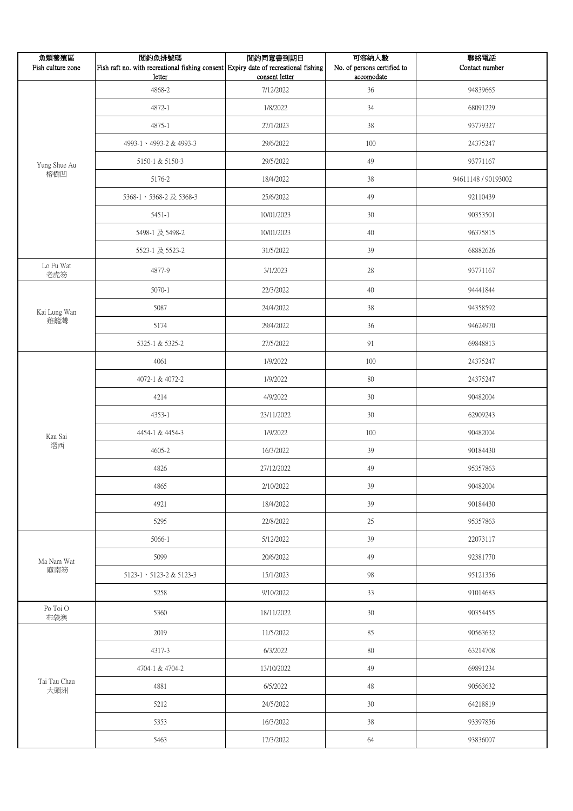| 魚類養殖區<br>Fish culture zone | 閒釣魚排號碼<br>Fish raft no. with recreational fishing consent Expiry date of recreational fishing<br>letter | 閒釣同意書到期日<br>consent letter | 可容納人數<br>No. of persons certified to<br>accomodate | 聯絡電話<br>Contact number |
|----------------------------|---------------------------------------------------------------------------------------------------------|----------------------------|----------------------------------------------------|------------------------|
|                            | 4868-2                                                                                                  | 7/12/2022                  | $36\,$                                             | 94839665               |
|                            | 4872-1                                                                                                  | 1/8/2022                   | 34                                                 | 68091229               |
|                            | 4875-1                                                                                                  | 27/1/2023                  | $38\,$                                             | 93779327               |
|                            | 4993-1 \ 4993-2 & 4993-3                                                                                | 29/6/2022                  | 100                                                | 24375247               |
| Yung Shue Au<br>榕樹凹        | 5150-1 & 5150-3                                                                                         | 29/5/2022                  | 49                                                 | 93771167               |
|                            | 5176-2                                                                                                  | 18/4/2022                  | 38                                                 | 94611148 / 90193002    |
|                            | 5368-1、5368-2 及 5368-3                                                                                  | 25/6/2022                  | 49                                                 | 92110439               |
|                            | 5451-1                                                                                                  | 10/01/2023                 | 30                                                 | 90353501               |
|                            | 5498-1 及 5498-2                                                                                         | 10/01/2023                 | $40\,$                                             | 96375815               |
|                            | 5523-1 及 5523-2                                                                                         | 31/5/2022                  | 39                                                 | 68882626               |
| Lo Fu Wat<br>老虎笏           | 4877-9                                                                                                  | 3/1/2023                   | $28\,$                                             | 93771167               |
|                            | $5070 - 1$                                                                                              | 22/3/2022                  | $40\,$                                             | 94441844               |
| Kai Lung Wan               | 5087                                                                                                    | 24/4/2022                  | $38\,$                                             | 94358592               |
| 雞籠灣                        | 5174                                                                                                    | 29/4/2022                  | 36                                                 | 94624970               |
|                            | 5325-1 & 5325-2                                                                                         | 27/5/2022                  | 91                                                 | 69848813               |
|                            | 4061                                                                                                    | 1/9/2022                   | 100                                                | 24375247               |
|                            | 4072-1 & 4072-2                                                                                         | 1/9/2022                   | $80\,$                                             | 24375247               |
|                            | 4214                                                                                                    | 4/9/2022                   | $30\,$                                             | 90482004               |
|                            | 4353-1                                                                                                  | 23/11/2022                 | $30\,$                                             | 62909243               |
| Kau Sai                    | 4454-1 & 4454-3                                                                                         | 1/9/2022                   | $100\,$                                            | 90482004               |
| 滘西                         | 4605-2                                                                                                  | 16/3/2022                  | 39                                                 | 90184430               |
|                            | 4826                                                                                                    | 27/12/2022                 | 49                                                 | 95357863               |
|                            | 4865                                                                                                    | 2/10/2022                  | 39                                                 | 90482004               |
|                            | 4921                                                                                                    | 18/4/2022                  | 39                                                 | 90184430               |
|                            | 5295                                                                                                    | 22/8/2022                  | $25\,$                                             | 95357863               |
|                            | 5066-1                                                                                                  | 5/12/2022                  | 39                                                 | 22073117               |
| Ma Nam Wat                 | 5099                                                                                                    | 20/6/2022                  | 49                                                 | 92381770               |
| 麻南笏                        | 5123-1 \ 5123-2 & 5123-3                                                                                | 15/1/2023                  | 98                                                 | 95121356               |
|                            | 5258                                                                                                    | 9/10/2022                  | 33                                                 | 91014683               |
| Po Toi O<br>布袋澳            | 5360                                                                                                    | 18/11/2022                 | 30                                                 | 90354455               |
|                            | 2019                                                                                                    | 11/5/2022                  | 85                                                 | 90563632               |
| Tai Tau Chau<br>大頭洲        | 4317-3                                                                                                  | 6/3/2022                   | $80\,$                                             | 63214708               |
|                            | 4704-1 & 4704-2                                                                                         | 13/10/2022                 | 49                                                 | 69891234               |
|                            | 4881                                                                                                    | 6/5/2022                   | 48                                                 | 90563632               |
|                            | 5212                                                                                                    | 24/5/2022                  | 30                                                 | 64218819               |
|                            | 5353                                                                                                    | 16/3/2022                  | $38\,$                                             | 93397856               |
|                            | 5463                                                                                                    | 17/3/2022                  | 64                                                 | 93836007               |